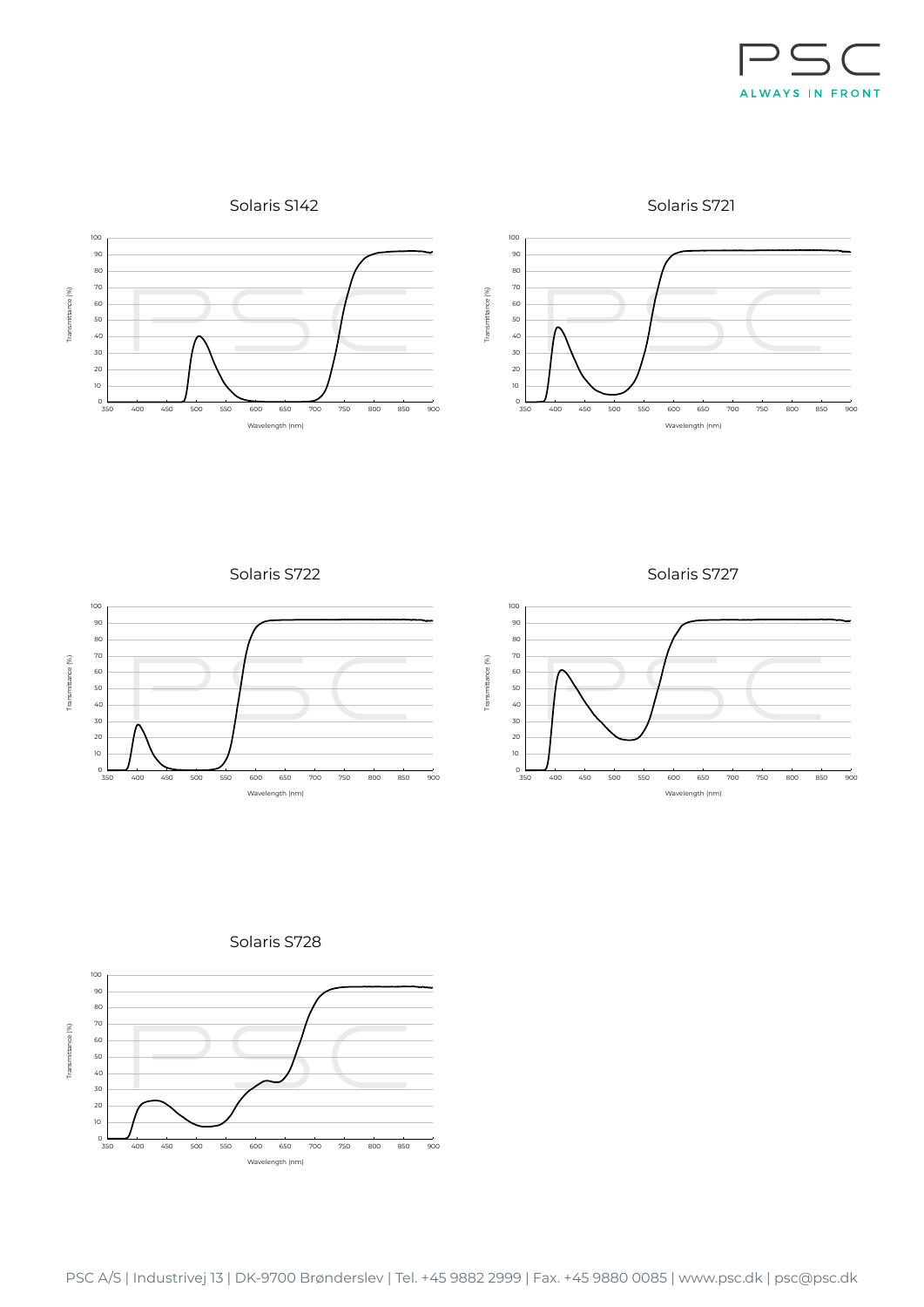

Solaris S142

Solaris S721



Solaris S722



Solaris S727



Solaris S728

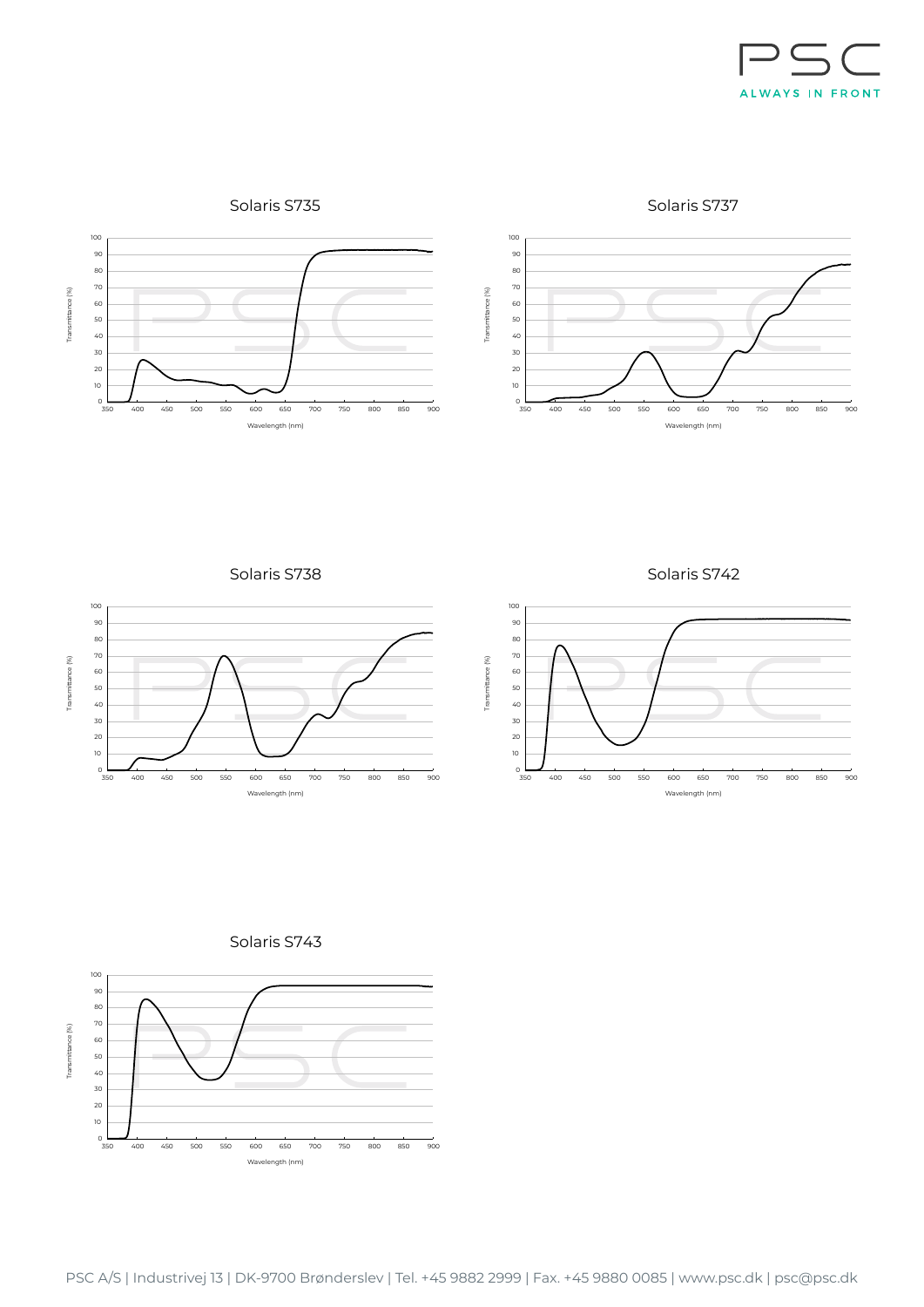

Solaris S735

Solaris S737





Solaris S738



Solaris S742